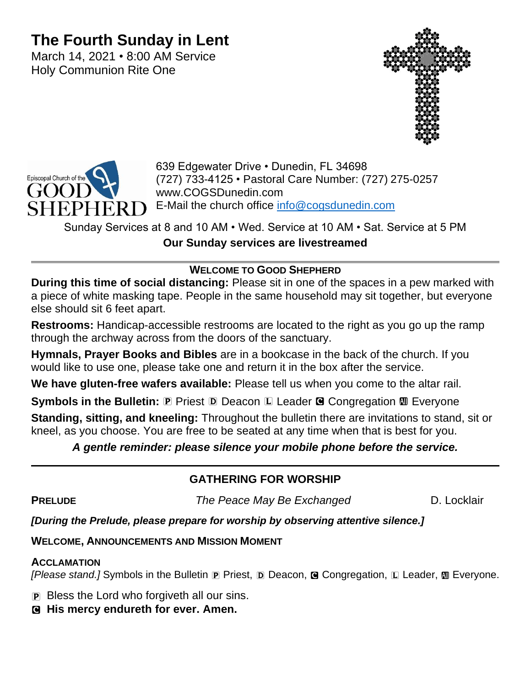# **The Fourth Sunday in Lent**

March 14, 2021 • 8:00 AM Service Holy Communion Rite One





639 Edgewater Drive • Dunedin, FL 34698 (727) 733-4125 • Pastoral Care Number: (727) 275-0257 www.COGSDunedin.com E-Mail the church office [info@cogsdunedin.com](mailto:info@cogsdunedin.com)

Sunday Services at 8 and 10 AM • Wed. Service at 10 AM • Sat. Service at 5 PM **Our Sunday services are livestreamed**

## **WELCOME TO GOOD SHEPHERD**

**During this time of social distancing:** Please sit in one of the spaces in a pew marked with a piece of white masking tape. People in the same household may sit together, but everyone else should sit 6 feet apart.

**Restrooms:** Handicap-accessible restrooms are located to the right as you go up the ramp through the archway across from the doors of the sanctuary.

**Hymnals, Prayer Books and Bibles** are in a bookcase in the back of the church. If you would like to use one, please take one and return it in the box after the service.

**We have gluten-free wafers available:** Please tell us when you come to the altar rail.

**Symbols in the Bulletin: P** Priest **D** Deacon **L** Leader **G** Congregation **M** Everyone

**Standing, sitting, and kneeling:** Throughout the bulletin there are invitations to stand, sit or kneel, as you choose. You are free to be seated at any time when that is best for you.

## *A gentle reminder: please silence your mobile phone before the service.*

## **GATHERING FOR WORSHIP**

**PRELUDE** The Peace May Be Exchanged D. Locklair

## *[During the Prelude, please prepare for worship by observing attentive silence.]*

**WELCOME, ANNOUNCEMENTS AND MISSION MOMENT**

## **ACCLAMATION**

*[Please stand.]* Symbols in the Bulletin **P** Priest, **D** Deacon, **G** Congregation, **L** Leader, **M** Everyone.

P Bless the Lord who forgiveth all our sins.

C **His mercy endureth for ever. Amen.**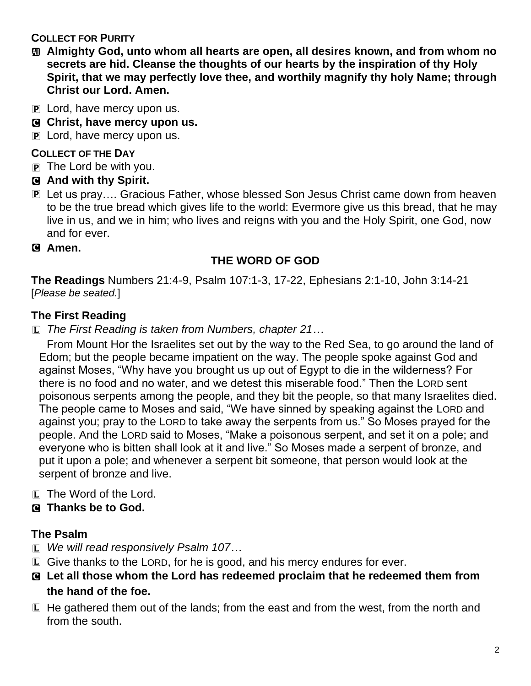## **COLLECT FOR PURITY**

- a **Almighty God, unto whom all hearts are open, all desires known, and from whom no secrets are hid. Cleanse the thoughts of our hearts by the inspiration of thy Holy Spirit, that we may perfectly love thee, and worthily magnify thy holy Name; through Christ our Lord. Amen.**
- $\mathbf{P}$  Lord, have mercy upon us.
- C **Christ, have mercy upon us.**
- P Lord, have mercy upon us.

## **COLLECT OF THE DAY**

- P The Lord be with you.
- C **And with thy Spirit.**
- P Let us pray…. Gracious Father, whose blessed Son Jesus Christ came down from heaven to be the true bread which gives life to the world: Evermore give us this bread, that he may live in us, and we in him; who lives and reigns with you and the Holy Spirit, one God, now and for ever.
- C **Amen.**

## **THE WORD OF GOD**

**The Readings** Numbers 21:4-9, Psalm 107:1-3, 17-22, Ephesians 2:1-10, John 3:14-21 [*Please be seated.*]

## **The First Reading**

L *The First Reading is taken from Numbers, chapter 21…*

From Mount Hor the Israelites set out by the way to the Red Sea, to go around the land of Edom; but the people became impatient on the way. The people spoke against God and against Moses, "Why have you brought us up out of Egypt to die in the wilderness? For there is no food and no water, and we detest this miserable food." Then the LORD sent poisonous serpents among the people, and they bit the people, so that many Israelites died. The people came to Moses and said, "We have sinned by speaking against the LORD and against you; pray to the LORD to take away the serpents from us." So Moses prayed for the people. And the LORD said to Moses, "Make a poisonous serpent, and set it on a pole; and everyone who is bitten shall look at it and live." So Moses made a serpent of bronze, and put it upon a pole; and whenever a serpent bit someone, that person would look at the serpent of bronze and live.

L The Word of the Lord.

## C **Thanks be to God.**

## **The Psalm**

- L *We will read responsively Psalm 107…*
- L Give thanks to the LORD, for he is good, and his mercy endures for ever.
- C **Let all those whom the Lord has redeemed proclaim that he redeemed them from the hand of the foe.**
- L He gathered them out of the lands; from the east and from the west, from the north and from the south.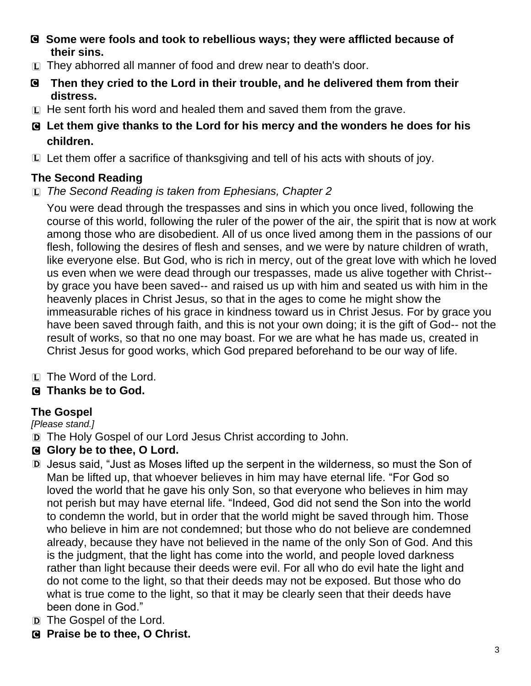- C **Some were fools and took to rebellious ways; they were afflicted because of their sins.**
- L They abhorred all manner of food and drew near to death's door.
- C **Then they cried to the Lord in their trouble, and he delivered them from their distress.**
- L He sent forth his word and healed them and saved them from the grave.
- C **Let them give thanks to the Lord for his mercy and the wonders he does for his children.**
- L Let them offer a sacrifice of thanksgiving and tell of his acts with shouts of joy.

## **The Second Reading**

L *The Second Reading is taken from Ephesians, Chapter 2*

You were dead through the trespasses and sins in which you once lived, following the course of this world, following the ruler of the power of the air, the spirit that is now at work among those who are disobedient. All of us once lived among them in the passions of our flesh, following the desires of flesh and senses, and we were by nature children of wrath, like everyone else. But God, who is rich in mercy, out of the great love with which he loved us even when we were dead through our trespasses, made us alive together with Christ- by grace you have been saved-- and raised us up with him and seated us with him in the heavenly places in Christ Jesus, so that in the ages to come he might show the immeasurable riches of his grace in kindness toward us in Christ Jesus. For by grace you have been saved through faith, and this is not your own doing; it is the gift of God-- not the result of works, so that no one may boast. For we are what he has made us, created in Christ Jesus for good works, which God prepared beforehand to be our way of life.

L The Word of the Lord.

## C **Thanks be to God.**

## **The Gospel**

*[Please stand.]*

- D The Holy Gospel of our Lord Jesus Christ according to John.
- C **Glory be to thee, O Lord.**
- D Jesus said, "Just as Moses lifted up the serpent in the wilderness, so must the Son of Man be lifted up, that whoever believes in him may have eternal life. "For God so loved the world that he gave his only Son, so that everyone who believes in him may not perish but may have eternal life. "Indeed, God did not send the Son into the world to condemn the world, but in order that the world might be saved through him. Those who believe in him are not condemned; but those who do not believe are condemned already, because they have not believed in the name of the only Son of God. And this is the judgment, that the light has come into the world, and people loved darkness rather than light because their deeds were evil. For all who do evil hate the light and do not come to the light, so that their deeds may not be exposed. But those who do what is true come to the light, so that it may be clearly seen that their deeds have been done in God."
- D The Gospel of the Lord.
- C **Praise be to thee, O Christ.**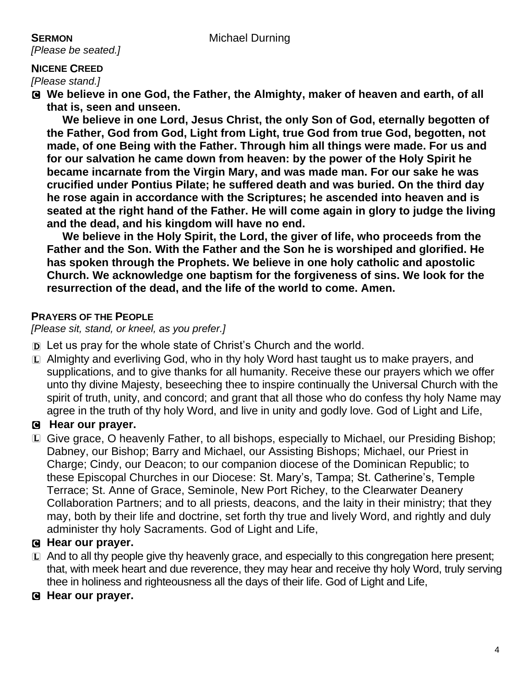*[Please be seated.]*

#### **NICENE CREED**

*[Please stand.]*

C **We believe in one God, the Father, the Almighty, maker of heaven and earth, of all that is, seen and unseen.** 

**We believe in one Lord, Jesus Christ, the only Son of God, eternally begotten of the Father, God from God, Light from Light, true God from true God, begotten, not made, of one Being with the Father. Through him all things were made. For us and for our salvation he came down from heaven: by the power of the Holy Spirit he became incarnate from the Virgin Mary, and was made man. For our sake he was crucified under Pontius Pilate; he suffered death and was buried. On the third day he rose again in accordance with the Scriptures; he ascended into heaven and is seated at the right hand of the Father. He will come again in glory to judge the living and the dead, and his kingdom will have no end.**

**We believe in the Holy Spirit, the Lord, the giver of life, who proceeds from the Father and the Son. With the Father and the Son he is worshiped and glorified. He has spoken through the Prophets. We believe in one holy catholic and apostolic Church. We acknowledge one baptism for the forgiveness of sins. We look for the resurrection of the dead, and the life of the world to come. Amen.**

#### **PRAYERS OF THE PEOPLE**

*[Please sit, stand, or kneel, as you prefer.]*

- D Let us pray for the whole state of Christ's Church and the world.
- L Almighty and everliving God, who in thy holy Word hast taught us to make prayers, and supplications, and to give thanks for all humanity. Receive these our prayers which we offer unto thy divine Majesty, beseeching thee to inspire continually the Universal Church with the spirit of truth, unity, and concord; and grant that all those who do confess thy holy Name may agree in the truth of thy holy Word, and live in unity and godly love. God of Light and Life,

## C **Hear our prayer.**

L Give grace, O heavenly Father, to all bishops, especially to Michael, our Presiding Bishop; Dabney, our Bishop; Barry and Michael, our Assisting Bishops; Michael, our Priest in Charge; Cindy, our Deacon; to our companion diocese of the Dominican Republic; to these Episcopal Churches in our Diocese: St. Mary's, Tampa; St. Catherine's, Temple Terrace; St. Anne of Grace, Seminole, New Port Richey, to the Clearwater Deanery Collaboration Partners; and to all priests, deacons, and the laity in their ministry; that they may, both by their life and doctrine, set forth thy true and lively Word, and rightly and duly administer thy holy Sacraments. God of Light and Life,

## C **Hear our prayer.**

- $\square$  And to all thy people give thy heavenly grace, and especially to this congregation here present; that, with meek heart and due reverence, they may hear and receive thy holy Word, truly serving thee in holiness and righteousness all the days of their life. God of Light and Life,
- C **Hear our prayer.**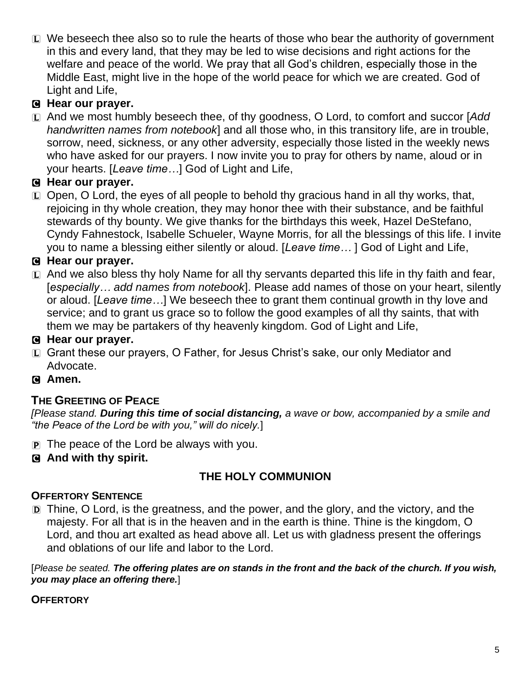L We beseech thee also so to rule the hearts of those who bear the authority of government in this and every land, that they may be led to wise decisions and right actions for the welfare and peace of the world. We pray that all God's children, especially those in the Middle East, might live in the hope of the world peace for which we are created. God of Light and Life,

## C **Hear our prayer.**

L And we most humbly beseech thee, of thy goodness, O Lord, to comfort and succor [*Add handwritten names from notebook*] and all those who, in this transitory life, are in trouble, sorrow, need, sickness, or any other adversity, especially those listed in the weekly news who have asked for our prayers. I now invite you to pray for others by name, aloud or in your hearts. [*Leave time…*] God of Light and Life,

## C **Hear our prayer.**

 $\Box$  Open, O Lord, the eyes of all people to behold thy gracious hand in all thy works, that, rejoicing in thy whole creation, they may honor thee with their substance, and be faithful stewards of thy bounty. We give thanks for the birthdays this week, Hazel DeStefano, Cyndy Fahnestock, Isabelle Schueler, Wayne Morris, for all the blessings of this life. I invite you to name a blessing either silently or aloud. [*Leave time…* ] God of Light and Life,

## C **Hear our prayer.**

 $\Box$  And we also bless thy holy Name for all thy servants departed this life in thy faith and fear, [*especially… add names from notebook*]. Please add names of those on your heart, silently or aloud. [*Leave time…*] We beseech thee to grant them continual growth in thy love and service; and to grant us grace so to follow the good examples of all thy saints, that with them we may be partakers of thy heavenly kingdom. God of Light and Life,

## C **Hear our prayer.**

L Grant these our prayers, O Father, for Jesus Christ's sake, our only Mediator and Advocate.

## C **Amen.**

## **THE GREETING OF PEACE**

*[Please stand. During this time of social distancing, a wave or bow, accompanied by a smile and "the Peace of the Lord be with you," will do nicely.*]

- P The peace of the Lord be always with you.
- C **And with thy spirit.**

## **THE HOLY COMMUNION**

## **OFFERTORY SENTENCE**

D Thine, O Lord, is the greatness, and the power, and the glory, and the victory, and the majesty. For all that is in the heaven and in the earth is thine. Thine is the kingdom, O Lord, and thou art exalted as head above all. Let us with gladness present the offerings and oblations of our life and labor to the Lord.

[*Please be seated. The offering plates are on stands in the front and the back of the church. If you wish, you may place an offering there.*]

## **OFFERTORY**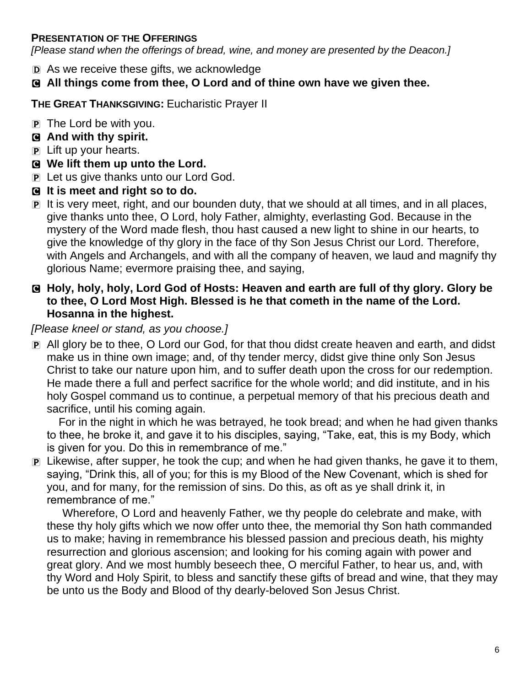#### **PRESENTATION OF THE OFFERINGS**

*[Please stand when the offerings of bread, wine, and money are presented by the Deacon.]*

- D As we receive these gifts, we acknowledge
- C **All things come from thee, O Lord and of thine own have we given thee.**

**THE GREAT THANKSGIVING:** Eucharistic Prayer II

- $\mathbf{P}$  The Lord be with you.
- C **And with thy spirit.**
- P Lift up your hearts.
- C **We lift them up unto the Lord.**
- P Let us give thanks unto our Lord God.
- C **It is meet and right so to do.**
- P It is very meet, right, and our bounden duty, that we should at all times, and in all places, give thanks unto thee, O Lord, holy Father, almighty, everlasting God. Because in the mystery of the Word made flesh, thou hast caused a new light to shine in our hearts, to give the knowledge of thy glory in the face of thy Son Jesus Christ our Lord. Therefore, with Angels and Archangels, and with all the company of heaven, we laud and magnify thy glorious Name; evermore praising thee, and saying,
- C **Holy, holy, holy, Lord God of Hosts: Heaven and earth are full of thy glory. Glory be to thee, O Lord Most High. Blessed is he that cometh in the name of the Lord. Hosanna in the highest.**

#### *[Please kneel or stand, as you choose.]*

P All glory be to thee, O Lord our God, for that thou didst create heaven and earth, and didst make us in thine own image; and, of thy tender mercy, didst give thine only Son Jesus Christ to take our nature upon him, and to suffer death upon the cross for our redemption. He made there a full and perfect sacrifice for the whole world; and did institute, and in his holy Gospel command us to continue, a perpetual memory of that his precious death and sacrifice, until his coming again.

For in the night in which he was betrayed, he took bread; and when he had given thanks to thee, he broke it, and gave it to his disciples, saying, "Take, eat, this is my Body, which is given for you. Do this in remembrance of me."

P Likewise, after supper, he took the cup; and when he had given thanks, he gave it to them, saying, "Drink this, all of you; for this is my Blood of the New Covenant, which is shed for you, and for many, for the remission of sins. Do this, as oft as ye shall drink it, in remembrance of me."

Wherefore, O Lord and heavenly Father, we thy people do celebrate and make, with these thy holy gifts which we now offer unto thee, the memorial thy Son hath commanded us to make; having in remembrance his blessed passion and precious death, his mighty resurrection and glorious ascension; and looking for his coming again with power and great glory. And we most humbly beseech thee, O merciful Father, to hear us, and, with thy Word and Holy Spirit, to bless and sanctify these gifts of bread and wine, that they may be unto us the Body and Blood of thy dearly-beloved Son Jesus Christ.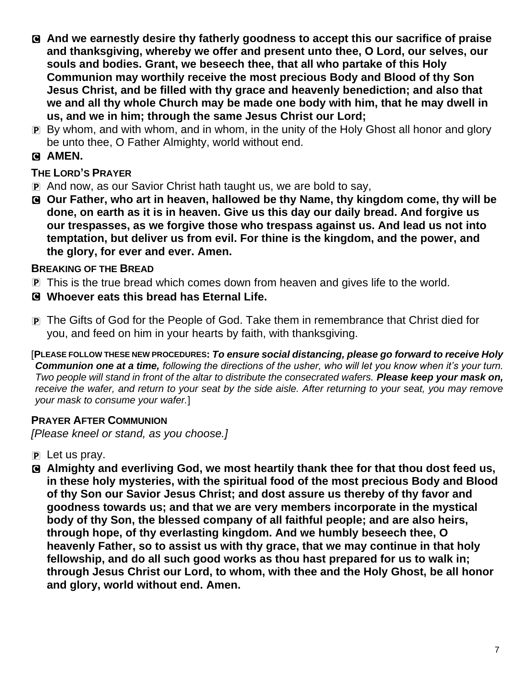- C **And we earnestly desire thy fatherly goodness to accept this our sacrifice of praise and thanksgiving, whereby we offer and present unto thee, O Lord, our selves, our souls and bodies. Grant, we beseech thee, that all who partake of this Holy Communion may worthily receive the most precious Body and Blood of thy Son Jesus Christ, and be filled with thy grace and heavenly benediction; and also that we and all thy whole Church may be made one body with him, that he may dwell in us, and we in him; through the same Jesus Christ our Lord;**
- P By whom, and with whom, and in whom, in the unity of the Holy Ghost all honor and glory be unto thee, O Father Almighty, world without end.

## C **AMEN.**

## **THE LORD'S PRAYER**

- P And now, as our Savior Christ hath taught us, we are bold to say,
- C **Our Father, who art in heaven, hallowed be thy Name, thy kingdom come, thy will be done, on earth as it is in heaven. Give us this day our daily bread. And forgive us our trespasses, as we forgive those who trespass against us. And lead us not into temptation, but deliver us from evil. For thine is the kingdom, and the power, and the glory, for ever and ever. Amen.**

#### **BREAKING OF THE BREAD**

- P This is the true bread which comes down from heaven and gives life to the world.
- C **Whoever eats this bread has Eternal Life.**
- P The Gifts of God for the People of God. Take them in remembrance that Christ died for you, and feed on him in your hearts by faith, with thanksgiving.

[**PLEASE FOLLOW THESE NEW PROCEDURES:** *To ensure social distancing, please go forward to receive Holy Communion one at a time, following the directions of the usher, who will let you know when it's your turn. Two people will stand in front of the altar to distribute the consecrated wafers. Please keep your mask on, receive the wafer, and return to your seat by the side aisle. After returning to your seat, you may remove your mask to consume your wafer.*]

## **PRAYER AFTER COMMUNION**

*[Please kneel or stand, as you choose.]*

- $\mathbf{P}$  Let us pray.
- C **Almighty and everliving God, we most heartily thank thee for that thou dost feed us, in these holy mysteries, with the spiritual food of the most precious Body and Blood of thy Son our Savior Jesus Christ; and dost assure us thereby of thy favor and goodness towards us; and that we are very members incorporate in the mystical body of thy Son, the blessed company of all faithful people; and are also heirs, through hope, of thy everlasting kingdom. And we humbly beseech thee, O heavenly Father, so to assist us with thy grace, that we may continue in that holy fellowship, and do all such good works as thou hast prepared for us to walk in; through Jesus Christ our Lord, to whom, with thee and the Holy Ghost, be all honor and glory, world without end. Amen.**